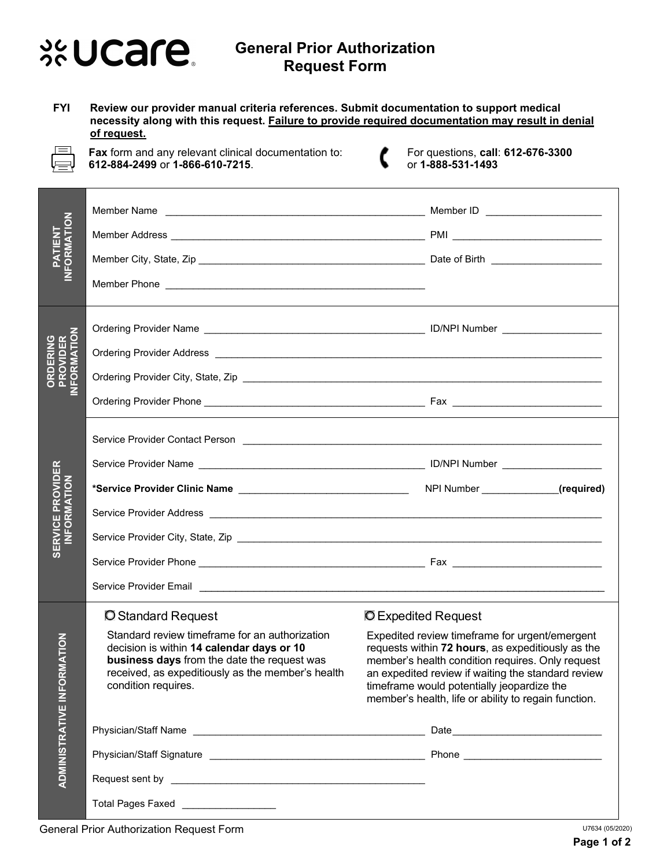## %UCare.

## **General Prior Authorization Request Form**

**FYI Review our provider manual criteria references. Submit documentation to support medical necessity along with this request. Failure to provide required documentation may result in denial of request.**

C

**Fax** form and any relevant clinical documentation to: **612-884-2499** or **1-866-610-7215**.

For questions, **call**: **612-676-3300** or **1-888-531-1493**

| <b>PATIENT<br/>INFORMATION</b>             |                                                                                                                                                                                                                        |                                                                                                                                                                                                                                                                                                                     |
|--------------------------------------------|------------------------------------------------------------------------------------------------------------------------------------------------------------------------------------------------------------------------|---------------------------------------------------------------------------------------------------------------------------------------------------------------------------------------------------------------------------------------------------------------------------------------------------------------------|
|                                            |                                                                                                                                                                                                                        |                                                                                                                                                                                                                                                                                                                     |
|                                            |                                                                                                                                                                                                                        |                                                                                                                                                                                                                                                                                                                     |
|                                            |                                                                                                                                                                                                                        |                                                                                                                                                                                                                                                                                                                     |
|                                            |                                                                                                                                                                                                                        |                                                                                                                                                                                                                                                                                                                     |
| <b>ORDERING</b><br>PROVIDER<br>INFORMATION |                                                                                                                                                                                                                        |                                                                                                                                                                                                                                                                                                                     |
|                                            |                                                                                                                                                                                                                        |                                                                                                                                                                                                                                                                                                                     |
|                                            |                                                                                                                                                                                                                        |                                                                                                                                                                                                                                                                                                                     |
|                                            |                                                                                                                                                                                                                        |                                                                                                                                                                                                                                                                                                                     |
| <b>SERVICE PROVIDER<br/>INFORMATION</b>    |                                                                                                                                                                                                                        |                                                                                                                                                                                                                                                                                                                     |
|                                            |                                                                                                                                                                                                                        |                                                                                                                                                                                                                                                                                                                     |
|                                            |                                                                                                                                                                                                                        |                                                                                                                                                                                                                                                                                                                     |
|                                            |                                                                                                                                                                                                                        |                                                                                                                                                                                                                                                                                                                     |
|                                            |                                                                                                                                                                                                                        |                                                                                                                                                                                                                                                                                                                     |
|                                            |                                                                                                                                                                                                                        |                                                                                                                                                                                                                                                                                                                     |
|                                            |                                                                                                                                                                                                                        |                                                                                                                                                                                                                                                                                                                     |
| ORMATION<br>ADMINISTRATIVE INF             | <b>O</b> Standard Request                                                                                                                                                                                              | <b>O</b> Expedited Request                                                                                                                                                                                                                                                                                          |
|                                            | Standard review timeframe for an authorization<br>decision is within 14 calendar days or 10<br>business days from the date the request was<br>received, as expeditiously as the member's health<br>condition requires. | Expedited review timeframe for urgent/emergent<br>requests within 72 hours, as expeditiously as the<br>member's health condition requires. Only request<br>an expedited review if waiting the standard review<br>timeframe would potentially jeopardize the<br>member's health, life or ability to regain function. |
|                                            |                                                                                                                                                                                                                        |                                                                                                                                                                                                                                                                                                                     |
|                                            |                                                                                                                                                                                                                        |                                                                                                                                                                                                                                                                                                                     |
|                                            |                                                                                                                                                                                                                        |                                                                                                                                                                                                                                                                                                                     |
|                                            | Total Pages Faxed __________________                                                                                                                                                                                   |                                                                                                                                                                                                                                                                                                                     |